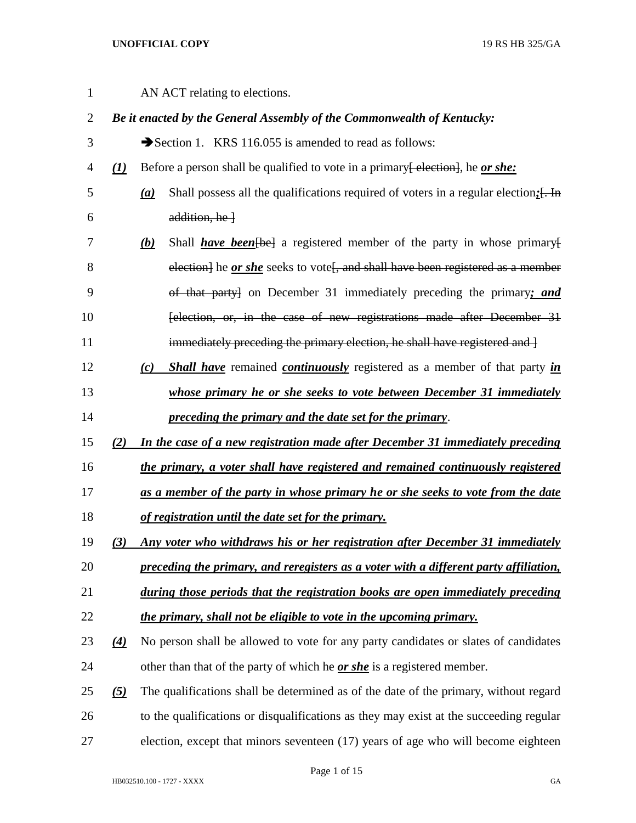| $\mathbf{1}$   |                                | AN ACT relating to elections.                                                                                        |  |  |
|----------------|--------------------------------|----------------------------------------------------------------------------------------------------------------------|--|--|
| $\overline{2}$ |                                | Be it enacted by the General Assembly of the Commonwealth of Kentucky:                                               |  |  |
| 3              |                                | Section 1. KRS 116.055 is amended to read as follows:                                                                |  |  |
| 4              | $\left( \underline{I} \right)$ | Before a person shall be qualified to vote in a primary election, he or she:                                         |  |  |
| 5              |                                | Shall possess all the qualifications required of voters in a regular election; [. In<br>$\left(\underline{a}\right)$ |  |  |
| 6              |                                | $addition, he$ }                                                                                                     |  |  |
| 7              |                                | <u>(b)</u><br>Shall <b>have been</b> [be ] a registered member of the party in whose primary [                       |  |  |
| 8              |                                | election] he <i>or she</i> seeks to vote <sup>[</sup> , and shall have been registered as a member                   |  |  |
| 9              |                                | of that party] on December 31 immediately preceding the primary; and                                                 |  |  |
| 10             |                                | felection, or, in the case of new registrations made after December 31                                               |  |  |
| 11             |                                | immediately preceding the primary election, he shall have registered and $\frac{1}{2}$                               |  |  |
| 12             |                                | <b>Shall have</b> remained <b>continuously</b> registered as a member of that party in<br>(c)                        |  |  |
| 13             |                                | whose primary he or she seeks to vote between December 31 immediately                                                |  |  |
| 14             |                                | preceding the primary and the date set for the primary.                                                              |  |  |
| 15             | (2)                            | In the case of a new registration made after December 31 immediately preceding                                       |  |  |
| 16             |                                | the primary, a voter shall have registered and remained continuously registered                                      |  |  |
| 17             |                                | as a member of the party in whose primary he or she seeks to vote from the date                                      |  |  |
| 18             |                                | of registration until the date set for the primary.                                                                  |  |  |
| 19             | (3)                            | Any voter who withdraws his or her registration after December 31 immediately                                        |  |  |
| 20             |                                | preceding the primary, and reregisters as a voter with a different party affiliation,                                |  |  |
| 21             |                                | during those periods that the registration books are open immediately preceding                                      |  |  |
| 22             |                                | the primary, shall not be eligible to vote in the upcoming primary.                                                  |  |  |
| 23             | $\left( 4\right)$              | No person shall be allowed to vote for any party candidates or slates of candidates                                  |  |  |
| 24             |                                | other than that of the party of which he <u>or she</u> is a registered member.                                       |  |  |
| 25             | $\left( 5\right)$              | The qualifications shall be determined as of the date of the primary, without regard                                 |  |  |
| 26             |                                | to the qualifications or disqualifications as they may exist at the succeeding regular                               |  |  |
| 27             |                                | election, except that minors seventeen (17) years of age who will become eighteen                                    |  |  |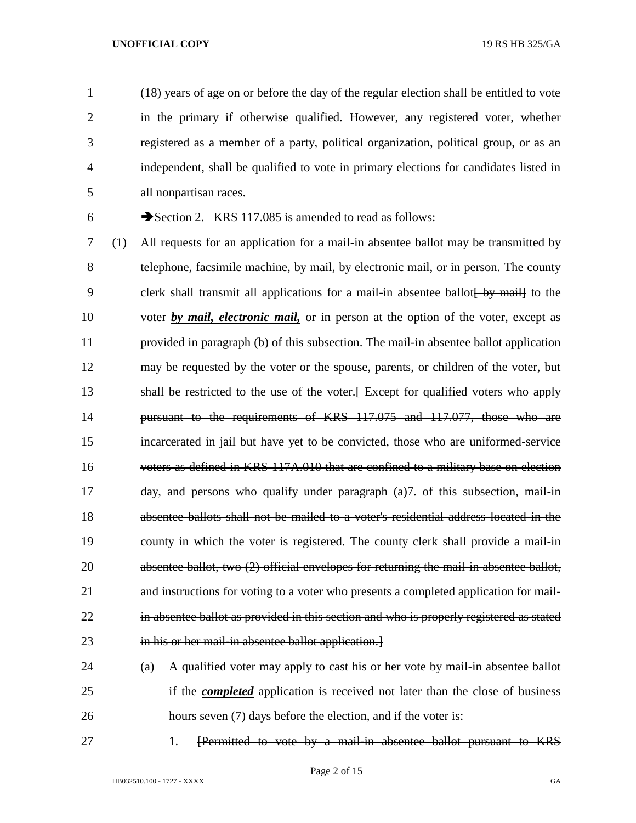(18) years of age on or before the day of the regular election shall be entitled to vote in the primary if otherwise qualified. However, any registered voter, whether registered as a member of a party, political organization, political group, or as an independent, shall be qualified to vote in primary elections for candidates listed in all nonpartisan races.

6  $\rightarrow$  Section 2. KRS 117.085 is amended to read as follows:

 (1) All requests for an application for a mail-in absentee ballot may be transmitted by telephone, facsimile machine, by mail, by electronic mail, or in person. The county 9 clerk shall transmit all applications for a mail-in absentee ballot by mail to the voter *by mail, electronic mail,* or in person at the option of the voter, except as provided in paragraph (b) of this subsection. The mail-in absentee ballot application may be requested by the voter or the spouse, parents, or children of the voter, but 13 shall be restricted to the use of the voter. Except for qualified voters who apply pursuant to the requirements of KRS 117.075 and 117.077, those who are incarcerated in jail but have yet to be convicted, those who are uniformed-service voters as defined in KRS 117A.010 that are confined to a military base on election day, and persons who qualify under paragraph (a)7. of this subsection, mail-in absentee ballots shall not be mailed to a voter's residential address located in the county in which the voter is registered. The county clerk shall provide a mail-in absentee ballot, two (2) official envelopes for returning the mail-in absentee ballot, and instructions for voting to a voter who presents a completed application for mail- in absentee ballot as provided in this section and who is properly registered as stated 23 in his or her mail-in absentee ballot application.

 (a) A qualified voter may apply to cast his or her vote by mail-in absentee ballot if the *completed* application is received not later than the close of business 26 hours seven (7) days before the election, and if the voter is:

27 1. [Permitted to vote by a mail-in absentee ballot pursuant to KRS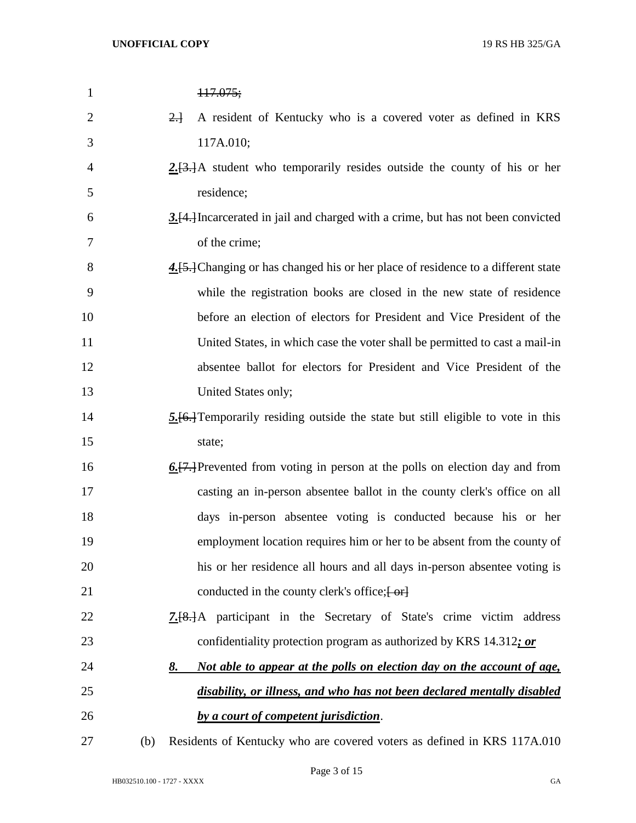| $\mathbf{1}$   |     | 117.075;                                                                                    |
|----------------|-----|---------------------------------------------------------------------------------------------|
| $\overline{2}$ |     | A resident of Kentucky who is a covered voter as defined in KRS<br>$2 +$                    |
| 3              |     | 117A.010;                                                                                   |
| $\overline{4}$ |     | $2. [3.]$ A student who temporarily resides outside the county of his or her                |
| 5              |     | residence;                                                                                  |
| 6              |     | 3.[4.] Incarcerated in jail and charged with a crime, but has not been convicted            |
| 7              |     | of the crime;                                                                               |
| 8              |     | 4.[5.] Changing or has changed his or her place of residence to a different state           |
| 9              |     | while the registration books are closed in the new state of residence                       |
| 10             |     | before an election of electors for President and Vice President of the                      |
| 11             |     | United States, in which case the voter shall be permitted to cast a mail-in                 |
| 12             |     | absentee ballot for electors for President and Vice President of the                        |
| 13             |     | United States only;                                                                         |
| 14             |     | 5.[6.] Temporarily residing outside the state but still eligible to vote in this            |
| 15             |     | state;                                                                                      |
| 16             |     | $\underline{6.}$ [7.] Prevented from voting in person at the polls on election day and from |
| 17             |     | casting an in-person absentee ballot in the county clerk's office on all                    |
| 18             |     | days in-person absentee voting is conducted because his or her                              |
| 19             |     | employment location requires him or her to be absent from the county of                     |
| 20             |     | his or her residence all hours and all days in-person absentee voting is                    |
| 21             |     | conducted in the county clerk's office; [-or]                                               |
| 22             |     | <b>7.</b> [8.] A participant in the Secretary of State's crime victim address               |
| 23             |     | confidentiality protection program as authorized by KRS 14.312; or                          |
| 24             |     | Not able to appear at the polls on election day on the account of age,<br>8.                |
| 25             |     | disability, or illness, and who has not been declared mentally disabled                     |
| 26             |     | by a court of competent jurisdiction.                                                       |
| 27             | (b) | Residents of Kentucky who are covered voters as defined in KRS 117A.010                     |

Page 3 of 15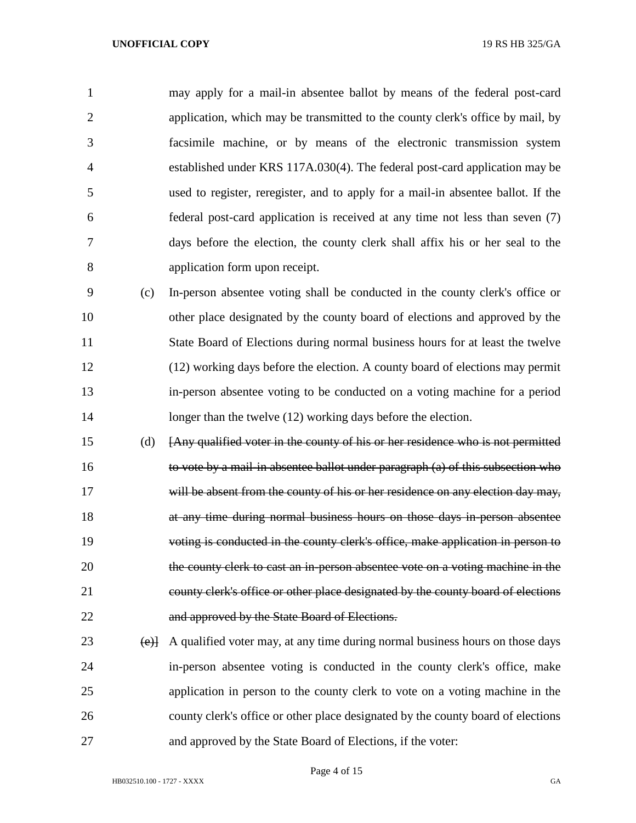may apply for a mail-in absentee ballot by means of the federal post-card application, which may be transmitted to the county clerk's office by mail, by facsimile machine, or by means of the electronic transmission system established under KRS 117A.030(4). The federal post-card application may be used to register, reregister, and to apply for a mail-in absentee ballot. If the federal post-card application is received at any time not less than seven (7) days before the election, the county clerk shall affix his or her seal to the application form upon receipt.

 (c) In-person absentee voting shall be conducted in the county clerk's office or other place designated by the county board of elections and approved by the State Board of Elections during normal business hours for at least the twelve (12) working days before the election. A county board of elections may permit in-person absentee voting to be conducted on a voting machine for a period 14 longer than the twelve (12) working days before the election.

 (d) [Any qualified voter in the county of his or her residence who is not permitted to vote by a mail-in absentee ballot under paragraph (a) of this subsection who 17 will be absent from the county of his or her residence on any election day may, at any time during normal business hours on those days in-person absentee voting is conducted in the county clerk's office, make application in person to 20 the county clerk to cast an in-person absentee vote on a voting machine in the county clerk's office or other place designated by the county board of elections and approved by the State Board of Elections.

 (e)] A qualified voter may, at any time during normal business hours on those days in-person absentee voting is conducted in the county clerk's office, make application in person to the county clerk to vote on a voting machine in the county clerk's office or other place designated by the county board of elections and approved by the State Board of Elections, if the voter:

Page 4 of 15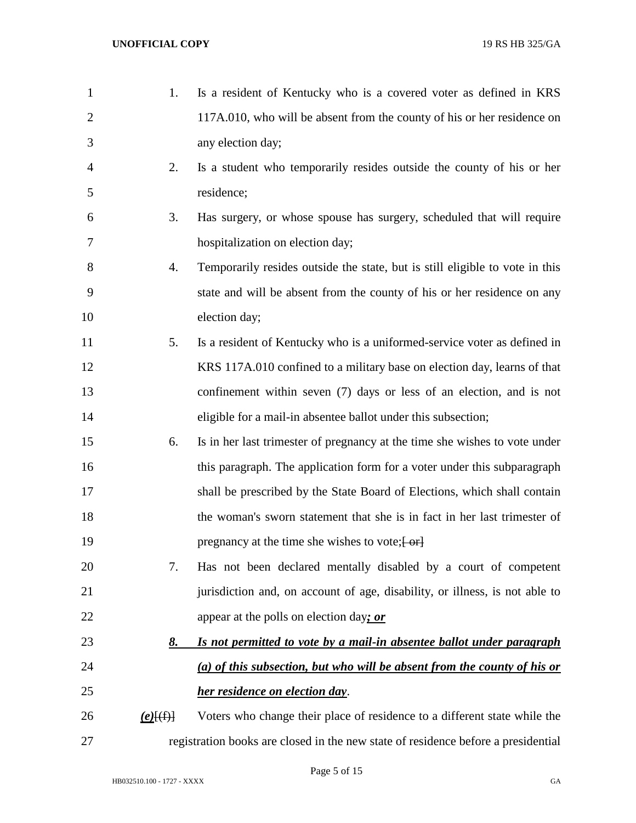| $\mathbf{1}$   | 1.          | Is a resident of Kentucky who is a covered voter as defined in KRS                |
|----------------|-------------|-----------------------------------------------------------------------------------|
| $\overline{2}$ |             | 117A.010, who will be absent from the county of his or her residence on           |
| 3              |             | any election day;                                                                 |
| $\overline{4}$ | 2.          | Is a student who temporarily resides outside the county of his or her             |
| 5              |             | residence;                                                                        |
| 6              | 3.          | Has surgery, or whose spouse has surgery, scheduled that will require             |
| 7              |             | hospitalization on election day;                                                  |
| 8              | 4.          | Temporarily resides outside the state, but is still eligible to vote in this      |
| 9              |             | state and will be absent from the county of his or her residence on any           |
| 10             |             | election day;                                                                     |
| 11             | 5.          | Is a resident of Kentucky who is a uniformed-service voter as defined in          |
| 12             |             | KRS 117A.010 confined to a military base on election day, learns of that          |
| 13             |             | confinement within seven (7) days or less of an election, and is not              |
| 14             |             | eligible for a mail-in absentee ballot under this subsection;                     |
| 15             | 6.          | Is in her last trimester of pregnancy at the time she wishes to vote under        |
| 16             |             | this paragraph. The application form for a voter under this subparagraph          |
| 17             |             | shall be prescribed by the State Board of Elections, which shall contain          |
| 18             |             | the woman's sworn statement that she is in fact in her last trimester of          |
| 19             |             | pregnancy at the time she wishes to vote; [ or]                                   |
| 20             | 7.          | Has not been declared mentally disabled by a court of competent                   |
| 21             |             | jurisdiction and, on account of age, disability, or illness, is not able to       |
| 22             |             | appear at the polls on election day; or                                           |
| 23             | <u>8.</u>   | Is not permitted to vote by a mail-in absentee ballot under paragraph             |
| 24             |             | (a) of this subsection, but who will be absent from the county of his or          |
| 25             |             | her residence on election day.                                                    |
| 26             | $(e)$ $(f)$ | Voters who change their place of residence to a different state while the         |
| 27             |             | registration books are closed in the new state of residence before a presidential |

Page 5 of 15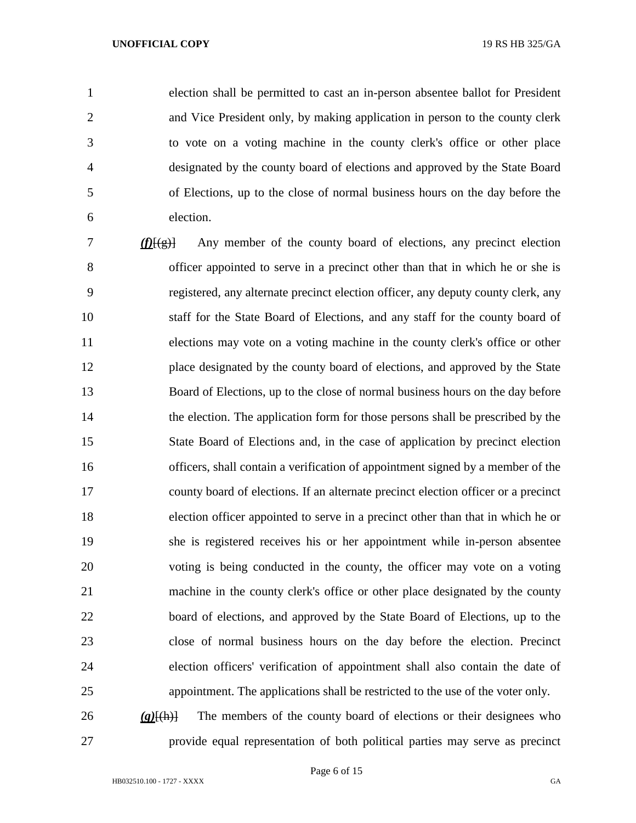election shall be permitted to cast an in-person absentee ballot for President and Vice President only, by making application in person to the county clerk to vote on a voting machine in the county clerk's office or other place designated by the county board of elections and approved by the State Board of Elections, up to the close of normal business hours on the day before the election.

 *(f)*[(g)] Any member of the county board of elections, any precinct election officer appointed to serve in a precinct other than that in which he or she is registered, any alternate precinct election officer, any deputy county clerk, any staff for the State Board of Elections, and any staff for the county board of elections may vote on a voting machine in the county clerk's office or other place designated by the county board of elections, and approved by the State Board of Elections, up to the close of normal business hours on the day before the election. The application form for those persons shall be prescribed by the State Board of Elections and, in the case of application by precinct election officers, shall contain a verification of appointment signed by a member of the county board of elections. If an alternate precinct election officer or a precinct election officer appointed to serve in a precinct other than that in which he or she is registered receives his or her appointment while in-person absentee voting is being conducted in the county, the officer may vote on a voting machine in the county clerk's office or other place designated by the county board of elections, and approved by the State Board of Elections, up to the close of normal business hours on the day before the election. Precinct election officers' verification of appointment shall also contain the date of appointment. The applications shall be restricted to the use of the voter only.

 *(g)*[(h)] The members of the county board of elections or their designees who provide equal representation of both political parties may serve as precinct

Page 6 of 15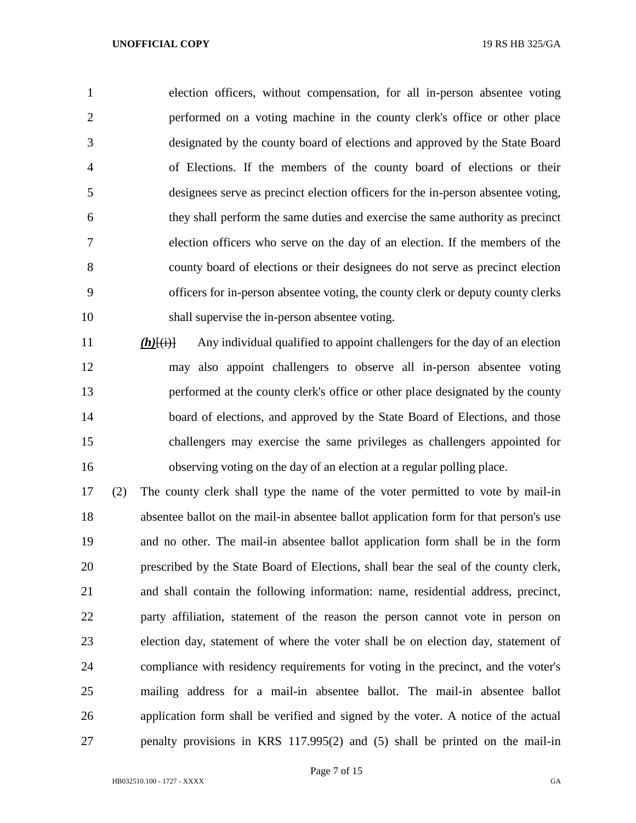election officers, without compensation, for all in-person absentee voting performed on a voting machine in the county clerk's office or other place designated by the county board of elections and approved by the State Board of Elections. If the members of the county board of elections or their designees serve as precinct election officers for the in-person absentee voting, they shall perform the same duties and exercise the same authority as precinct election officers who serve on the day of an election. If the members of the county board of elections or their designees do not serve as precinct election officers for in-person absentee voting, the county clerk or deputy county clerks shall supervise the in-person absentee voting.

*(h)*[(i)] Any individual qualified to appoint challengers for the day of an election may also appoint challengers to observe all in-person absentee voting performed at the county clerk's office or other place designated by the county 14 board of elections, and approved by the State Board of Elections, and those challengers may exercise the same privileges as challengers appointed for observing voting on the day of an election at a regular polling place.

 (2) The county clerk shall type the name of the voter permitted to vote by mail-in absentee ballot on the mail-in absentee ballot application form for that person's use and no other. The mail-in absentee ballot application form shall be in the form prescribed by the State Board of Elections, shall bear the seal of the county clerk, and shall contain the following information: name, residential address, precinct, party affiliation, statement of the reason the person cannot vote in person on election day, statement of where the voter shall be on election day, statement of compliance with residency requirements for voting in the precinct, and the voter's mailing address for a mail-in absentee ballot. The mail-in absentee ballot application form shall be verified and signed by the voter. A notice of the actual penalty provisions in KRS 117.995(2) and (5) shall be printed on the mail-in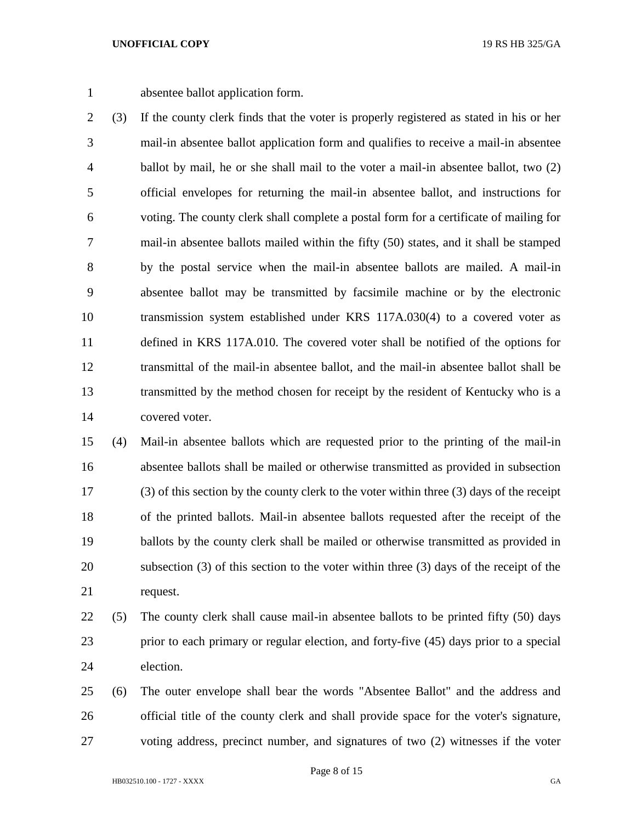absentee ballot application form.

 (3) If the county clerk finds that the voter is properly registered as stated in his or her mail-in absentee ballot application form and qualifies to receive a mail-in absentee ballot by mail, he or she shall mail to the voter a mail-in absentee ballot, two (2) official envelopes for returning the mail-in absentee ballot, and instructions for voting. The county clerk shall complete a postal form for a certificate of mailing for mail-in absentee ballots mailed within the fifty (50) states, and it shall be stamped by the postal service when the mail-in absentee ballots are mailed. A mail-in absentee ballot may be transmitted by facsimile machine or by the electronic transmission system established under KRS 117A.030(4) to a covered voter as defined in KRS 117A.010. The covered voter shall be notified of the options for transmittal of the mail-in absentee ballot, and the mail-in absentee ballot shall be transmitted by the method chosen for receipt by the resident of Kentucky who is a covered voter.

 (4) Mail-in absentee ballots which are requested prior to the printing of the mail-in absentee ballots shall be mailed or otherwise transmitted as provided in subsection (3) of this section by the county clerk to the voter within three (3) days of the receipt of the printed ballots. Mail-in absentee ballots requested after the receipt of the ballots by the county clerk shall be mailed or otherwise transmitted as provided in subsection (3) of this section to the voter within three (3) days of the receipt of the request.

- (5) The county clerk shall cause mail-in absentee ballots to be printed fifty (50) days prior to each primary or regular election, and forty-five (45) days prior to a special election.
- (6) The outer envelope shall bear the words "Absentee Ballot" and the address and official title of the county clerk and shall provide space for the voter's signature, voting address, precinct number, and signatures of two (2) witnesses if the voter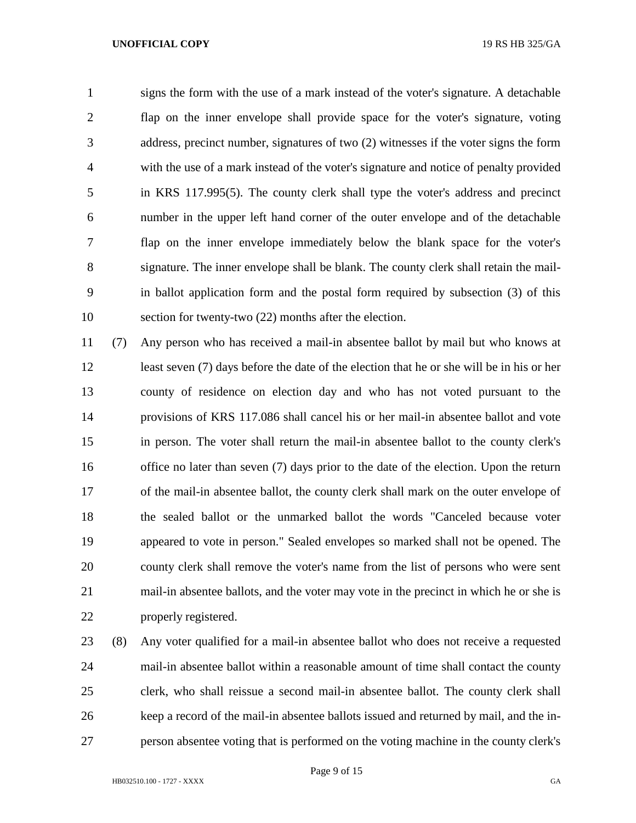signs the form with the use of a mark instead of the voter's signature. A detachable flap on the inner envelope shall provide space for the voter's signature, voting address, precinct number, signatures of two (2) witnesses if the voter signs the form with the use of a mark instead of the voter's signature and notice of penalty provided in KRS 117.995(5). The county clerk shall type the voter's address and precinct number in the upper left hand corner of the outer envelope and of the detachable flap on the inner envelope immediately below the blank space for the voter's signature. The inner envelope shall be blank. The county clerk shall retain the mail- in ballot application form and the postal form required by subsection (3) of this section for twenty-two (22) months after the election.

 (7) Any person who has received a mail-in absentee ballot by mail but who knows at least seven (7) days before the date of the election that he or she will be in his or her county of residence on election day and who has not voted pursuant to the provisions of KRS 117.086 shall cancel his or her mail-in absentee ballot and vote in person. The voter shall return the mail-in absentee ballot to the county clerk's 16 office no later than seven (7) days prior to the date of the election. Upon the return of the mail-in absentee ballot, the county clerk shall mark on the outer envelope of the sealed ballot or the unmarked ballot the words "Canceled because voter appeared to vote in person." Sealed envelopes so marked shall not be opened. The county clerk shall remove the voter's name from the list of persons who were sent mail-in absentee ballots, and the voter may vote in the precinct in which he or she is properly registered.

 (8) Any voter qualified for a mail-in absentee ballot who does not receive a requested mail-in absentee ballot within a reasonable amount of time shall contact the county clerk, who shall reissue a second mail-in absentee ballot. The county clerk shall keep a record of the mail-in absentee ballots issued and returned by mail, and the in-person absentee voting that is performed on the voting machine in the county clerk's

Page 9 of 15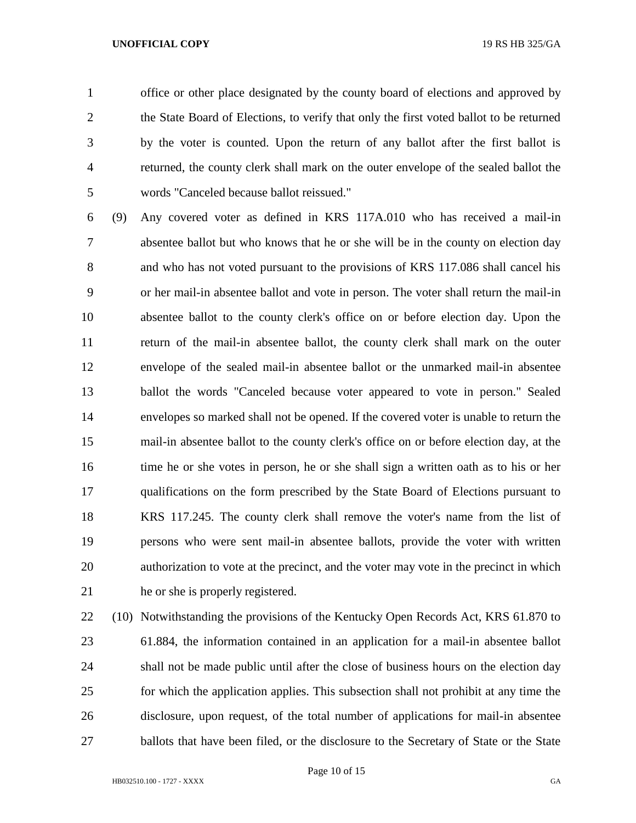office or other place designated by the county board of elections and approved by the State Board of Elections, to verify that only the first voted ballot to be returned by the voter is counted. Upon the return of any ballot after the first ballot is returned, the county clerk shall mark on the outer envelope of the sealed ballot the words "Canceled because ballot reissued."

 (9) Any covered voter as defined in KRS 117A.010 who has received a mail-in absentee ballot but who knows that he or she will be in the county on election day and who has not voted pursuant to the provisions of KRS 117.086 shall cancel his or her mail-in absentee ballot and vote in person. The voter shall return the mail-in absentee ballot to the county clerk's office on or before election day. Upon the return of the mail-in absentee ballot, the county clerk shall mark on the outer envelope of the sealed mail-in absentee ballot or the unmarked mail-in absentee ballot the words "Canceled because voter appeared to vote in person." Sealed envelopes so marked shall not be opened. If the covered voter is unable to return the mail-in absentee ballot to the county clerk's office on or before election day, at the time he or she votes in person, he or she shall sign a written oath as to his or her qualifications on the form prescribed by the State Board of Elections pursuant to KRS 117.245. The county clerk shall remove the voter's name from the list of persons who were sent mail-in absentee ballots, provide the voter with written authorization to vote at the precinct, and the voter may vote in the precinct in which he or she is properly registered.

 (10) Notwithstanding the provisions of the Kentucky Open Records Act, KRS 61.870 to 61.884, the information contained in an application for a mail-in absentee ballot shall not be made public until after the close of business hours on the election day for which the application applies. This subsection shall not prohibit at any time the disclosure, upon request, of the total number of applications for mail-in absentee 27 ballots that have been filed, or the disclosure to the Secretary of State or the State

Page 10 of 15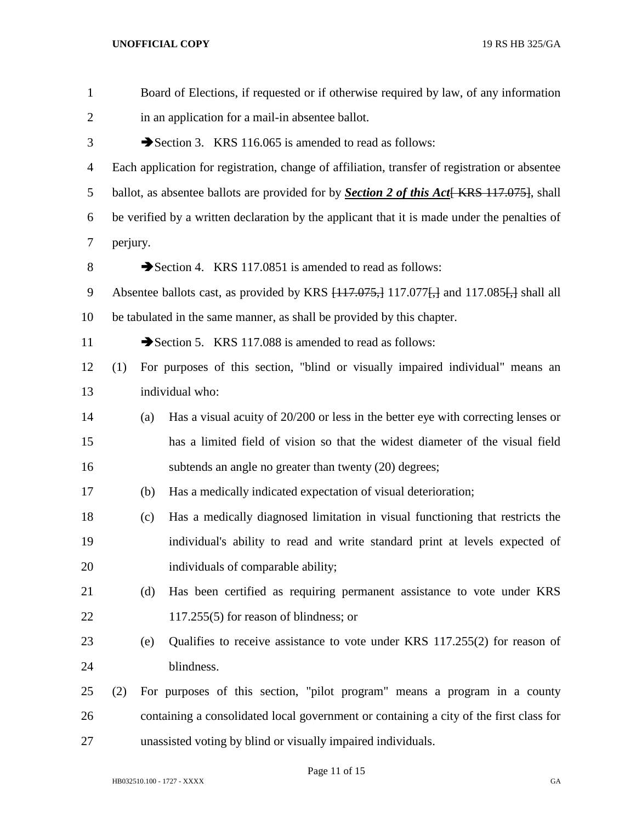| $\mathbf{1}$   | Board of Elections, if requested or if otherwise required by law, of any information              |     |                                                                                                |  |  |
|----------------|---------------------------------------------------------------------------------------------------|-----|------------------------------------------------------------------------------------------------|--|--|
| $\overline{2}$ | in an application for a mail-in absentee ballot.                                                  |     |                                                                                                |  |  |
| 3              |                                                                                                   |     | Section 3. KRS 116.065 is amended to read as follows:                                          |  |  |
| $\overline{4}$ |                                                                                                   |     | Each application for registration, change of affiliation, transfer of registration or absentee |  |  |
| 5              | ballot, as absentee ballots are provided for by <b>Section 2 of this Act</b> [KRS 117.075], shall |     |                                                                                                |  |  |
| 6              | be verified by a written declaration by the applicant that it is made under the penalties of      |     |                                                                                                |  |  |
| $\tau$         | perjury.                                                                                          |     |                                                                                                |  |  |
| 8              |                                                                                                   |     | Section 4. KRS 117.0851 is amended to read as follows:                                         |  |  |
| 9              |                                                                                                   |     | Absentee ballots cast, as provided by KRS $[117.075, 117.077]$ , and 117.085. shall all        |  |  |
| 10             | be tabulated in the same manner, as shall be provided by this chapter.                            |     |                                                                                                |  |  |
| 11             |                                                                                                   |     | Section 5. KRS 117.088 is amended to read as follows:                                          |  |  |
| 12             | (1)                                                                                               |     | For purposes of this section, "blind or visually impaired individual" means an                 |  |  |
| 13             |                                                                                                   |     | individual who:                                                                                |  |  |
| 14             |                                                                                                   | (a) | Has a visual acuity of 20/200 or less in the better eye with correcting lenses or              |  |  |
| 15             |                                                                                                   |     | has a limited field of vision so that the widest diameter of the visual field                  |  |  |
| 16             |                                                                                                   |     | subtends an angle no greater than twenty (20) degrees;                                         |  |  |
| 17             |                                                                                                   | (b) | Has a medically indicated expectation of visual deterioration;                                 |  |  |
| 18             |                                                                                                   | (c) | Has a medically diagnosed limitation in visual functioning that restricts the                  |  |  |
| 19             |                                                                                                   |     | individual's ability to read and write standard print at levels expected of                    |  |  |
| 20             |                                                                                                   |     | individuals of comparable ability;                                                             |  |  |
| 21             |                                                                                                   | (d) | Has been certified as requiring permanent assistance to vote under KRS                         |  |  |
| 22             |                                                                                                   |     | $117.255(5)$ for reason of blindness; or                                                       |  |  |
| 23             |                                                                                                   | (e) | Qualifies to receive assistance to vote under KRS 117.255(2) for reason of                     |  |  |
| 24             |                                                                                                   |     | blindness.                                                                                     |  |  |
| 25             | (2)                                                                                               |     | For purposes of this section, "pilot program" means a program in a county                      |  |  |
| 26             |                                                                                                   |     | containing a consolidated local government or containing a city of the first class for         |  |  |
| 27             |                                                                                                   |     | unassisted voting by blind or visually impaired individuals.                                   |  |  |

Page 11 of 15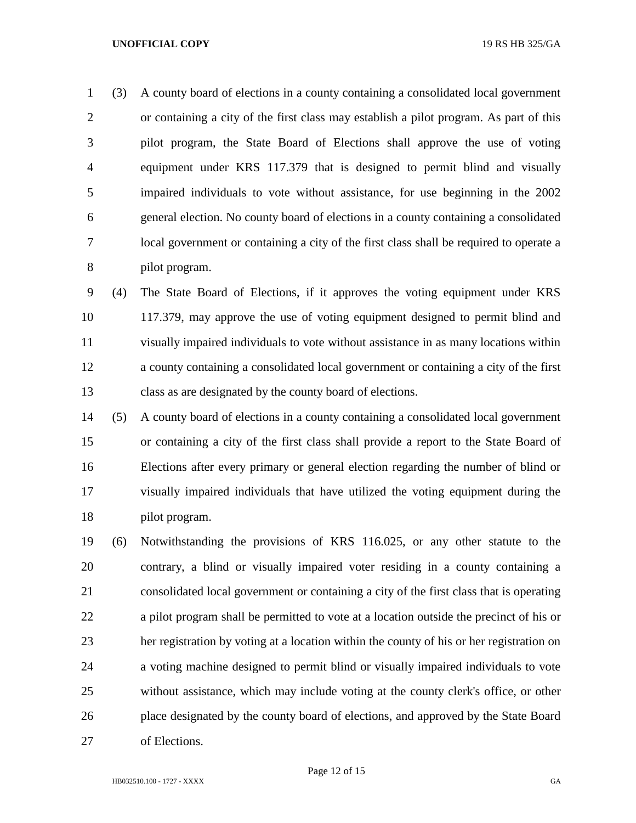(3) A county board of elections in a county containing a consolidated local government or containing a city of the first class may establish a pilot program. As part of this pilot program, the State Board of Elections shall approve the use of voting equipment under KRS 117.379 that is designed to permit blind and visually impaired individuals to vote without assistance, for use beginning in the 2002 general election. No county board of elections in a county containing a consolidated local government or containing a city of the first class shall be required to operate a pilot program.

 (4) The State Board of Elections, if it approves the voting equipment under KRS 117.379, may approve the use of voting equipment designed to permit blind and visually impaired individuals to vote without assistance in as many locations within a county containing a consolidated local government or containing a city of the first class as are designated by the county board of elections.

 (5) A county board of elections in a county containing a consolidated local government or containing a city of the first class shall provide a report to the State Board of Elections after every primary or general election regarding the number of blind or visually impaired individuals that have utilized the voting equipment during the pilot program.

 (6) Notwithstanding the provisions of KRS 116.025, or any other statute to the contrary, a blind or visually impaired voter residing in a county containing a consolidated local government or containing a city of the first class that is operating a pilot program shall be permitted to vote at a location outside the precinct of his or her registration by voting at a location within the county of his or her registration on a voting machine designed to permit blind or visually impaired individuals to vote without assistance, which may include voting at the county clerk's office, or other place designated by the county board of elections, and approved by the State Board of Elections.

Page 12 of 15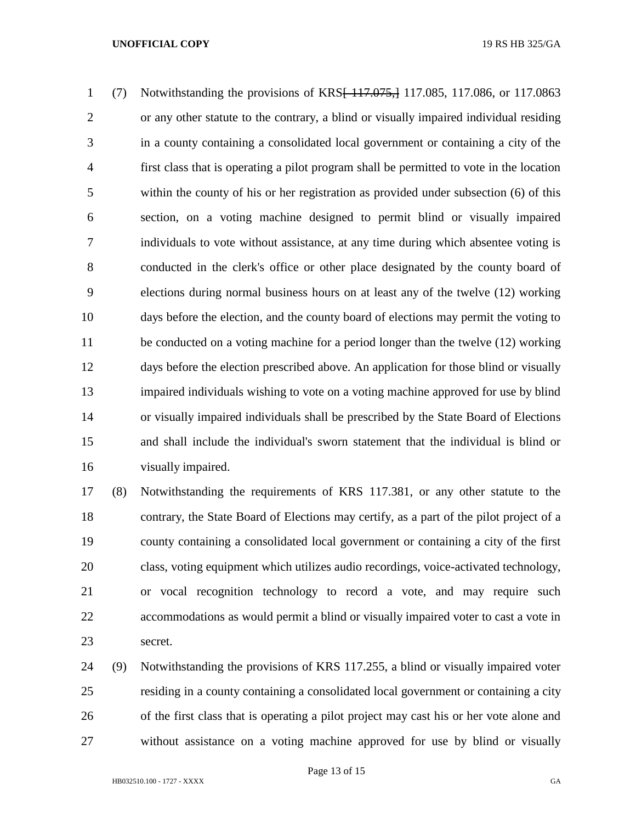(7) Notwithstanding the provisions of KRS[ 117.075,] 117.085, 117.086, or 117.0863 or any other statute to the contrary, a blind or visually impaired individual residing in a county containing a consolidated local government or containing a city of the first class that is operating a pilot program shall be permitted to vote in the location within the county of his or her registration as provided under subsection (6) of this section, on a voting machine designed to permit blind or visually impaired individuals to vote without assistance, at any time during which absentee voting is conducted in the clerk's office or other place designated by the county board of elections during normal business hours on at least any of the twelve (12) working days before the election, and the county board of elections may permit the voting to be conducted on a voting machine for a period longer than the twelve (12) working days before the election prescribed above. An application for those blind or visually impaired individuals wishing to vote on a voting machine approved for use by blind or visually impaired individuals shall be prescribed by the State Board of Elections and shall include the individual's sworn statement that the individual is blind or visually impaired.

 (8) Notwithstanding the requirements of KRS 117.381, or any other statute to the contrary, the State Board of Elections may certify, as a part of the pilot project of a county containing a consolidated local government or containing a city of the first class, voting equipment which utilizes audio recordings, voice-activated technology, or vocal recognition technology to record a vote, and may require such accommodations as would permit a blind or visually impaired voter to cast a vote in secret.

 (9) Notwithstanding the provisions of KRS 117.255, a blind or visually impaired voter residing in a county containing a consolidated local government or containing a city of the first class that is operating a pilot project may cast his or her vote alone and without assistance on a voting machine approved for use by blind or visually

Page 13 of 15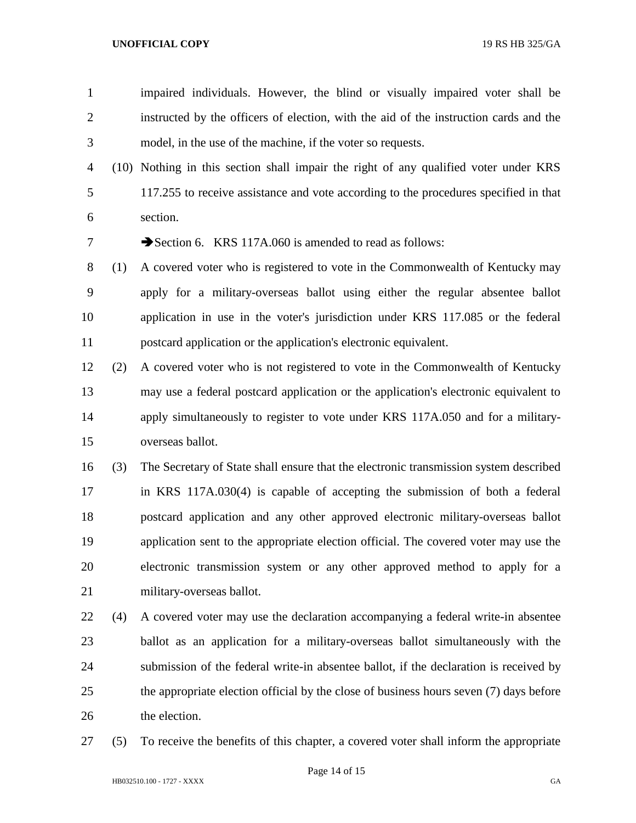- impaired individuals. However, the blind or visually impaired voter shall be instructed by the officers of election, with the aid of the instruction cards and the model, in the use of the machine, if the voter so requests.
- (10) Nothing in this section shall impair the right of any qualified voter under KRS 117.255 to receive assistance and vote according to the procedures specified in that section.

7 Section 6. KRS 117A.060 is amended to read as follows:

- (1) A covered voter who is registered to vote in the Commonwealth of Kentucky may apply for a military-overseas ballot using either the regular absentee ballot application in use in the voter's jurisdiction under KRS 117.085 or the federal postcard application or the application's electronic equivalent.
- (2) A covered voter who is not registered to vote in the Commonwealth of Kentucky may use a federal postcard application or the application's electronic equivalent to apply simultaneously to register to vote under KRS 117A.050 and for a military-overseas ballot.
- (3) The Secretary of State shall ensure that the electronic transmission system described in KRS 117A.030(4) is capable of accepting the submission of both a federal postcard application and any other approved electronic military-overseas ballot application sent to the appropriate election official. The covered voter may use the electronic transmission system or any other approved method to apply for a military-overseas ballot.
- (4) A covered voter may use the declaration accompanying a federal write-in absentee ballot as an application for a military-overseas ballot simultaneously with the submission of the federal write-in absentee ballot, if the declaration is received by the appropriate election official by the close of business hours seven (7) days before the election.
- (5) To receive the benefits of this chapter, a covered voter shall inform the appropriate